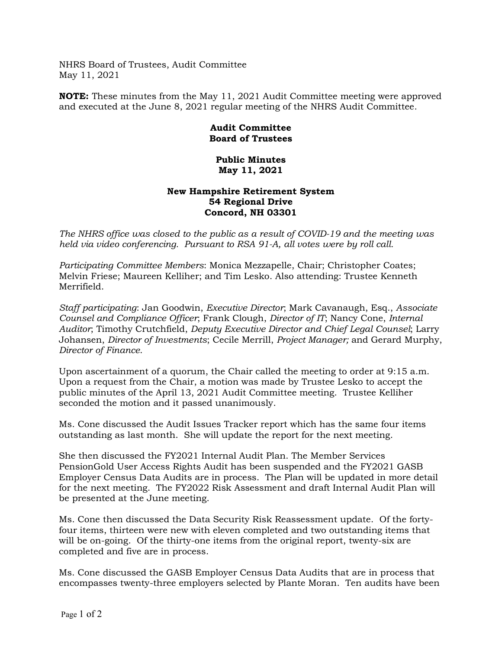NHRS Board of Trustees, Audit Committee May 11, 2021

**NOTE:** These minutes from the May 11, 2021 Audit Committee meeting were approved and executed at the June 8, 2021 regular meeting of the NHRS Audit Committee.

## **Audit Committee Board of Trustees**

## **Public Minutes May 11, 2021**

## **New Hampshire Retirement System 54 Regional Drive Concord, NH 03301**

*The NHRS office was closed to the public as a result of COVID-19 and the meeting was held via video conferencing. Pursuant to RSA 91-A, all votes were by roll call.*

*Participating Committee Members*: Monica Mezzapelle, Chair; Christopher Coates; Melvin Friese; Maureen Kelliher; and Tim Lesko. Also attending: Trustee Kenneth Merrifield.

*Staff participating*: Jan Goodwin, *Executive Director*; Mark Cavanaugh, Esq., *Associate Counsel and Compliance Officer*; Frank Clough, *Director of IT*; Nancy Cone, *Internal Auditor*; Timothy Crutchfield, *Deputy Executive Director and Chief Legal Counsel*; Larry Johansen, *Director of Investments*; Cecile Merrill, *Project Manager;* and Gerard Murphy, *Director of Finance*.

Upon ascertainment of a quorum, the Chair called the meeting to order at 9:15 a.m. Upon a request from the Chair, a motion was made by Trustee Lesko to accept the public minutes of the April 13, 2021 Audit Committee meeting. Trustee Kelliher seconded the motion and it passed unanimously.

Ms. Cone discussed the Audit Issues Tracker report which has the same four items outstanding as last month. She will update the report for the next meeting.

She then discussed the FY2021 Internal Audit Plan. The Member Services PensionGold User Access Rights Audit has been suspended and the FY2021 GASB Employer Census Data Audits are in process. The Plan will be updated in more detail for the next meeting. The FY2022 Risk Assessment and draft Internal Audit Plan will be presented at the June meeting.

Ms. Cone then discussed the Data Security Risk Reassessment update. Of the fortyfour items, thirteen were new with eleven completed and two outstanding items that will be on-going. Of the thirty-one items from the original report, twenty-six are completed and five are in process.

Ms. Cone discussed the GASB Employer Census Data Audits that are in process that encompasses twenty-three employers selected by Plante Moran. Ten audits have been